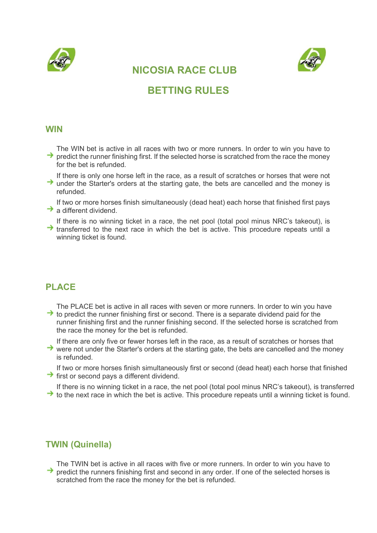



# NICOSIA RACE CLUB

# BETTING RULES

#### **WIN**

The WIN bet is active in all races with two or more runners. In order to win you have to predict the runner finishing first. If the selected horse is scratched from the race the money for the bet is refunded.

If there is only one horse left in the race, as a result of scratches or horses that were not  $\rightarrow$  under the Starter's orders at the starting gate, the bets are cancelled and the money is refunded.

If two or more horses finish simultaneously (dead heat) each horse that finished first pays  $\rightarrow$  a different dividend.

If there is no winning ticket in a race, the net pool (total pool minus NRC's takeout), is  $\rightarrow$  transferred to the next race in which the bet is active. This procedure repeats until a winning ticket is found.

### PLACE

The PLACE bet is active in all races with seven or more runners. In order to win you have  $\rightarrow$  to predict the runner finishing first or second. There is a separate dividend paid for the runner finishing first and the runner finishing second. If the selected horse is scratched from the race the money for the bet is refunded.

If there are only five or fewer horses left in the race, as a result of scratches or horses that

 $\rightarrow$  were not under the Starter's orders at the starting gate, the bets are cancelled and the money is refunded.

If two or more horses finish simultaneously first or second (dead heat) each horse that finished  $\rightarrow$  first or second pays a different dividend.

If there is no winning ticket in a race, the net pool (total pool minus NRC's takeout), is transferred  $\rightarrow$  to the next race in which the bet is active. This procedure repeats until a winning ticket is found.

### TWIN (Quinella)

The TWIN bet is active in all races with five or more runners. In order to win you have to  $\rightarrow$  predict the runners finishing first and second in any order. If one of the selected horses is scratched from the race the money for the bet is refunded.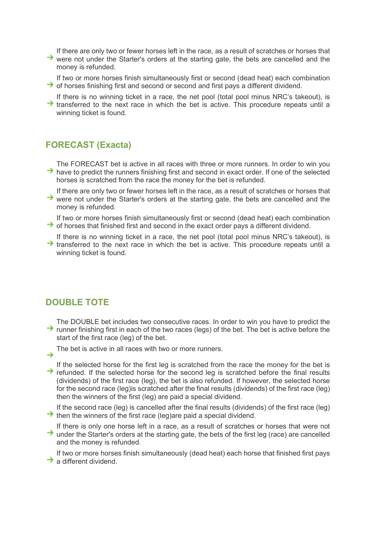If there are only two or fewer horses left in the race, as a result of scratches or horses that

- $\rightarrow$  were not under the Starter's orders at the starting gate, the bets are cancelled and the money is refunded.
- If two or more horses finish simultaneously first or second (dead heat) each combination  $\rightarrow$  of horses finishing first and second or second and first pays a different dividend.
- If there is no winning ticket in a race, the net pool (total pool minus NRC's takeout), is  $\rightarrow$  transferred to the next race in which the bet is active. This procedure repeats until a winning ticket is found.

### FORECAST (Exacta)

The FORECAST bet is active in all races with three or more runners. In order to win you  $\rightarrow$  have to predict the runners finishing first and second in exact order. If one of the selected horses is scratched from the race the money for the bet is refunded.

- If there are only two or fewer horses left in the race, as a result of scratches or horses that  $\rightarrow$  were not under the Starter's orders at the starting gate, the bets are cancelled and the money is refunded.
- If two or more horses finish simultaneously first or second (dead heat) each combination  $\rightarrow$  of horses that finished first and second in the exact order pays a different dividend.
- If there is no winning ticket in a race, the net pool (total pool minus NRC's takeout), is  $\rightarrow$  transferred to the next race in which the bet is active. This procedure repeats until a winning ticket is found.

### DOUBLE TOTE

- The DOUBLE bet includes two consecutive races. In order to win you have to predict the  $\rightarrow$  runner finishing first in each of the two races (legs) of the bet. The bet is active before the start of the first race (leg) of the bet.
	- The bet is active in all races with two or more runners.
- $\rightarrow$
- If the selected horse for the first leg is scratched from the race the money for the bet is  $\rightarrow$  refunded. If the selected horse for the second leg is scratched before the final results (dividends) of the first race (leg), the bet is also refunded. If however, the selected horse for the second race (leg)is scratched after the final results (dividends) of the first race (leg) then the winners of the first (leg) are paid a special dividend.

If the second race (leg) is cancelled after the final results (dividends) of the first race (leg)  $\rightarrow$  then the winners of the first race (leg)are paid a special dividend.

If there is only one horse left in a race, as a result of scratches or horses that were not → under the Starter's orders at the starting gate, the bets of the first leg (race) are cancelled and the money is refunded.

If two or more horses finish simultaneously (dead heat) each horse that finished first pays  $\rightarrow$  a different dividend.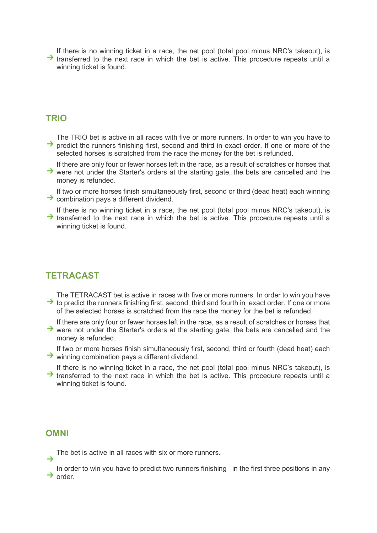If there is no winning ticket in a race, the net pool (total pool minus NRC's takeout), is  $\rightarrow$  transferred to the next race in which the bet is active. This procedure repeats until a winning ticket is found.

#### **TRIO**

The TRIO bet is active in all races with five or more runners. In order to win you have to  $\rightarrow$  predict the runners finishing first, second and third in exact order. If one or more of the selected horses is scratched from the race the money for the bet is refunded.

- If there are only four or fewer horses left in the race, as a result of scratches or horses that  $\rightarrow$  were not under the Starter's orders at the starting gate, the bets are cancelled and the money is refunded.
- If two or more horses finish simultaneously first, second or third (dead heat) each winning  $\rightarrow$  combination pays a different dividend.
- If there is no winning ticket in a race, the net pool (total pool minus NRC's takeout), is  $\rightarrow$  transferred to the next race in which the bet is active. This procedure repeats until a winning ticket is found.

#### **TETRACAST**

- The TETRACAST bet is active in races with five or more runners. In order to win you have  $\rightarrow$  to predict the runners finishing first, second, third and fourth in exact order. If one or more of the selected horses is scratched from the race the money for the bet is refunded.
- If there are only four or fewer horses left in the race, as a result of scratches or horses that  $\rightarrow$  were not under the Starter's orders at the starting gate, the bets are cancelled and the money is refunded.
- If two or more horses finish simultaneously first, second, third or fourth (dead heat) each  $\rightarrow$  winning combination pays a different dividend.
- If there is no winning ticket in a race, the net pool (total pool minus NRC's takeout), is  $\rightarrow$  transferred to the next race in which the bet is active. This procedure repeats until a winning ticket is found.

#### OMNI

The bet is active in all races with six or more runners.

In order to win you have to predict two runners finishing in the first three positions in any  $\rightarrow$  order.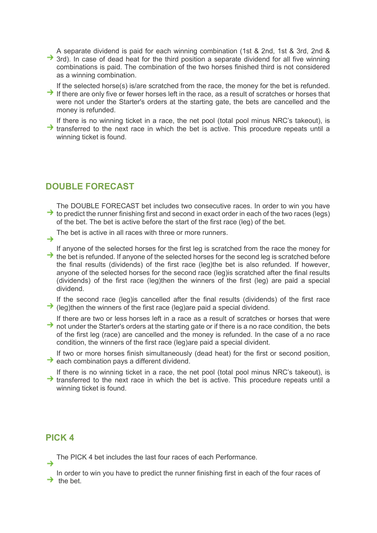A separate dividend is paid for each winning combination (1st & 2nd, 1st & 3rd, 2nd &  $\rightarrow$  3rd). In case of dead heat for the third position a separate dividend for all five winning combinations is paid. The combination of the two horses finished third is not considered as a winning combination.

- If the selected horse(s) is/are scratched from the race, the money for the bet is refunded.  $\rightarrow$  If there are only five or fewer horses left in the race, as a result of scratches or horses that were not under the Starter's orders at the starting gate, the bets are cancelled and the money is refunded.
- If there is no winning ticket in a race, the net pool (total pool minus NRC's takeout), is  $\rightarrow$  transferred to the next race in which the bet is active. This procedure repeats until a winning ticket is found.

## DOUBLE FORECAST

- The DOUBLE FORECAST bet includes two consecutive races. In order to win you have  $\rightarrow$  to predict the runner finishing first and second in exact order in each of the two races (legs) of the bet. The bet is active before the start of the first race (leg) of the bet.
- The bet is active in all races with three or more runners.  $\rightarrow$
- - If anyone of the selected horses for the first leg is scratched from the race the money for
- $\rightarrow$  the bet is refunded. If anyone of the selected horses for the second leg is scratched before the final results (dividends) of the first race (leg)the bet is also refunded. If however, anyone of the selected horses for the second race (leg)is scratched after the final results (dividends) of the first race (leg)then the winners of the first (leg) are paid a special dividend.
- If the second race (leg)is cancelled after the final results (dividends) of the first race  $\rightarrow$  (leg)then the winners of the first race (leg)are paid a special dividend.
- If there are two or less horses left in a race as a result of scratches or horses that were  $\rightarrow$  not under the Starter's orders at the starting gate or if there is a no race condition, the bets of the first leg (race) are cancelled and the money is refunded. In the case of a no race condition, the winners of the first race (leg)are paid a special divident.
- If two or more horses finish simultaneously (dead heat) for the first or second position,  $\rightarrow$  each combination pays a different dividend.
- If there is no winning ticket in a race, the net pool (total pool minus NRC's takeout), is  $\rightarrow$  transferred to the next race in which the bet is active. This procedure repeats until a winning ticket is found.

### PICK 4

The PICK 4 bet includes the last four races of each Performance.

In order to win you have to predict the runner finishing first in each of the four races of  $\rightarrow$  the bet.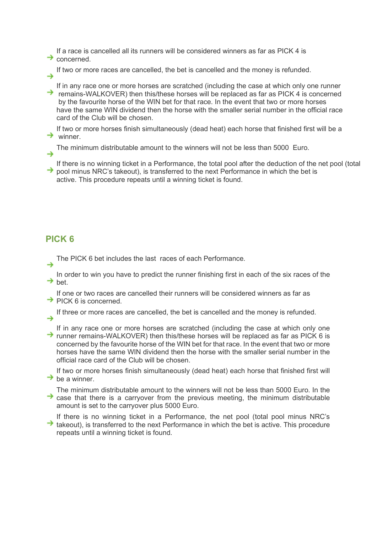If a race is cancelled all its runners will be considered winners as far as PICK 4 is

- $\rightarrow$  concerned.
	- If two or more races are cancelled, the bet is cancelled and the money is refunded.
- If in any race one or more horses are scratched (including the case at which only one runner  $\rightarrow$  remains-WALKOVER) then this/these horses will be replaced as far as PICK 4 is concerned by the favourite horse of the WIN bet for that race. In the event that two or more horses have the same WIN dividend then the horse with the smaller serial number in the official race card of the Club will be chosen.
- If two or more horses finish simultaneously (dead heat) each horse that finished first will be a  $\rightarrow$  winner.
	- The minimum distributable amount to the winners will not be less than 5000 Euro.
- If there is no winning ticket in a Performance, the total pool after the deduction of the net pool (total  $\rightarrow$  pool minus NRC's takeout), is transferred to the next Performance in which the bet is active. This procedure repeats until a winning ticket is found.

## PICK 6

The PICK 6 bet includes the last races of each Performance.

In order to win you have to predict the runner finishing first in each of the six races of the  $\rightarrow$  bet.

- If one or two races are cancelled their runners will be considered winners as far as
- $\rightarrow$  PICK 6 is concerned.
- If three or more races are cancelled, the bet is cancelled and the money is refunded.  $\rightarrow$
- If in any race one or more horses are scratched (including the case at which only one  $\rightarrow$  runner remains-WALKOVER) then this/these horses will be replaced as far as PICK 6 is concerned by the favourite horse of the WIN bet for that race. In the event that two or more horses have the same WIN dividend then the horse with the smaller serial number in the official race card of the Club will be chosen.

If two or more horses finish simultaneously (dead heat) each horse that finished first will  $\rightarrow$  be a winner.

- The minimum distributable amount to the winners will not be less than 5000 Euro. In the  $\rightarrow$  case that there is a carryover from the previous meeting, the minimum distributable amount is set to the carryover plus 5000 Euro.
- If there is no winning ticket in a Performance, the net pool (total pool minus NRC's  $\rightarrow$  takeout), is transferred to the next Performance in which the bet is active. This procedure repeats until a winning ticket is found.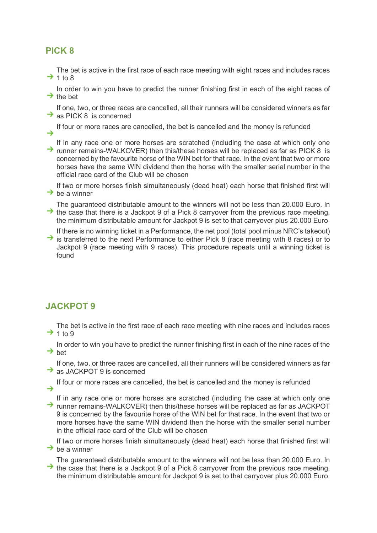## PICK 8

The bet is active in the first race of each race meeting with eight races and includes races  $\rightarrow$  1 to 8

In order to win you have to predict the runner finishing first in each of the eight races of  $\rightarrow$  the bet

If one, two, or three races are cancelled, all their runners will be considered winners as far  $\rightarrow$  as PICK 8 is concerned

If four or more races are cancelled, the bet is cancelled and the money is refunded →

If in any race one or more horses are scratched (including the case at which only one  $\rightarrow$  runner remains-WALKOVER) then this/these horses will be replaced as far as PICK 8 is concerned by the favourite horse of the WIN bet for that race. In the event that two or more horses have the same WIN dividend then the horse with the smaller serial number in the official race card of the Club will be chosen

If two or more horses finish simultaneously (dead heat) each horse that finished first will  $\rightarrow$  be a winner

The guaranteed distributable amount to the winners will not be less than 20.000 Euro. In  $\rightarrow$  the case that there is a Jackpot 9 of a Pick 8 carryover from the previous race meeting, the minimum distributable amount for Jackpot 9 is set to that carryover plus 20.000 Euro

If there is no winning ticket in a Performance, the net pool (total pool minus NRC's takeout)  $\rightarrow$  is transferred to the next Performance to either Pick 8 (race meeting with 8 races) or to Jackpot 9 (race meeting with 9 races). This procedure repeats until a winning ticket is found

## JACKPOT 9

The bet is active in the first race of each race meeting with nine races and includes races  $\rightarrow$  1 to 9

In order to win you have to predict the runner finishing first in each of the nine races of the  $\rightarrow$  het

If one, two, or three races are cancelled, all their runners will be considered winners as far  $\rightarrow$  as JACKPOT 9 is concerned

If four or more races are cancelled, the bet is cancelled and the money is refunded  $\rightarrow$ 

If in any race one or more horses are scratched (including the case at which only one  $\rightarrow$  runner remains-WALKOVER) then this/these horses will be replaced as far as JACKPOT 9 is concerned by the favourite horse of the WIN bet for that race. In the event that two or more horses have the same WIN dividend then the horse with the smaller serial number in the official race card of the Club will be chosen

If two or more horses finish simultaneously (dead heat) each horse that finished first will  $\rightarrow$  be a winner

The guaranteed distributable amount to the winners will not be less than 20.000 Euro. In  $\rightarrow$  the case that there is a Jackpot 9 of a Pick 8 carryover from the previous race meeting. the minimum distributable amount for Jackpot 9 is set to that carryover plus 20.000 Euro